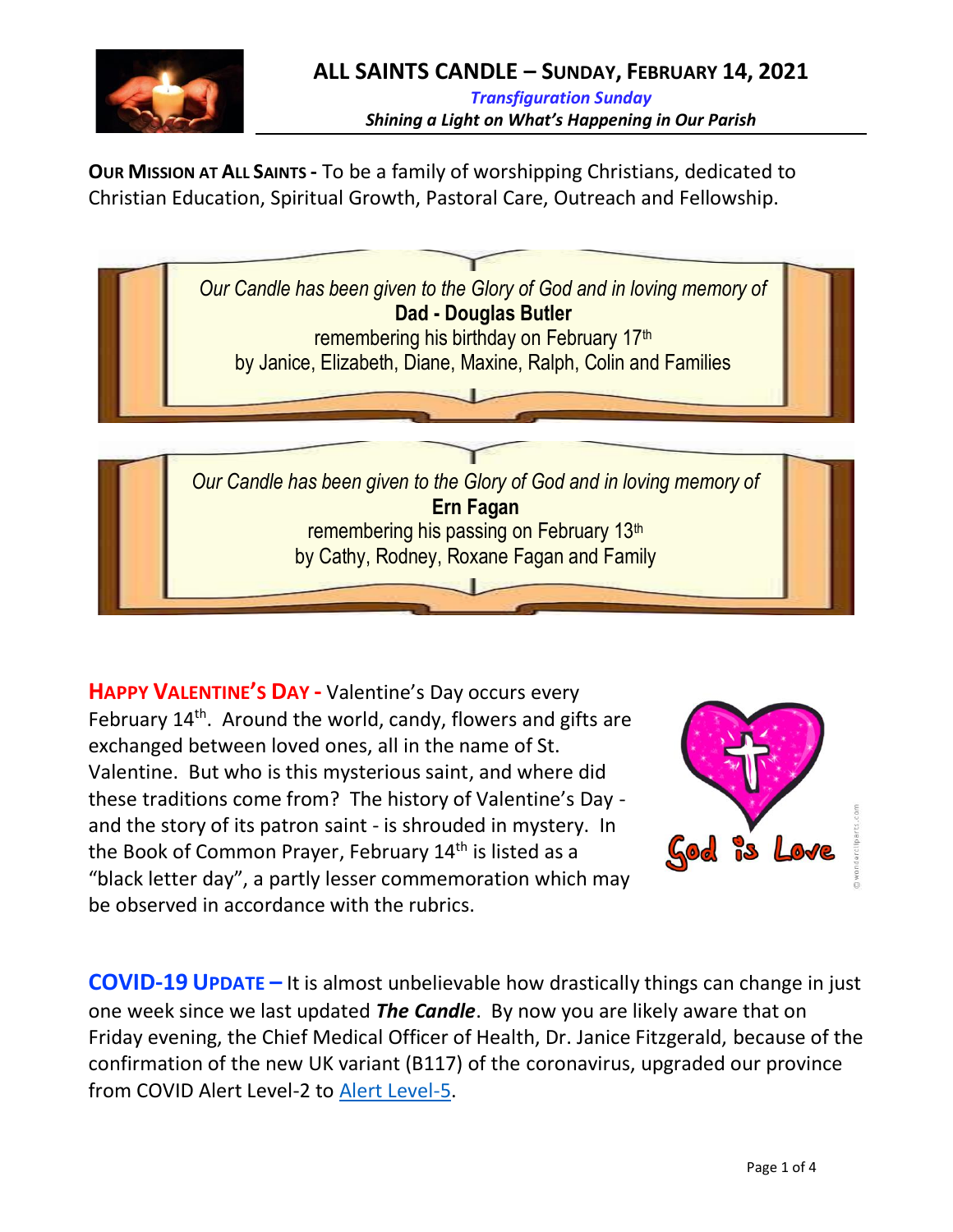

**OUR MISSION AT ALL SAINTS -** To be a family of worshipping Christians, dedicated to Christian Education, Spiritual Growth, Pastoral Care, Outreach and Fellowship.



**HAPPY VALENTINE'S DAY -** Valentine's Day occurs every February 14<sup>th</sup>. Around the world, candy, flowers and gifts are exchanged between loved ones, all in the name of St. Valentine. But who is this mysterious saint, and where did these traditions come from? The history of Valentine's Day and the story of its patron saint - is shrouded in mystery. In the Book of Common Prayer, February 14<sup>th</sup> is listed as a "black letter day", a partly lesser commemoration which may be observed in accordance with the rubrics.



**COVID-19 UPDATE –** It is almost unbelievable how drastically things can change in just one week since we last updated *The Candle*. By now you are likely aware that on Friday evening, the Chief Medical Officer of Health, Dr. Janice Fitzgerald, because of the confirmation of the new UK variant (B117) of the coronavirus, upgraded our province from COVID Alert Level-2 to [Alert Level-5.](https://www.gov.nl.ca/covid-19/alert-system/alert-level-5/)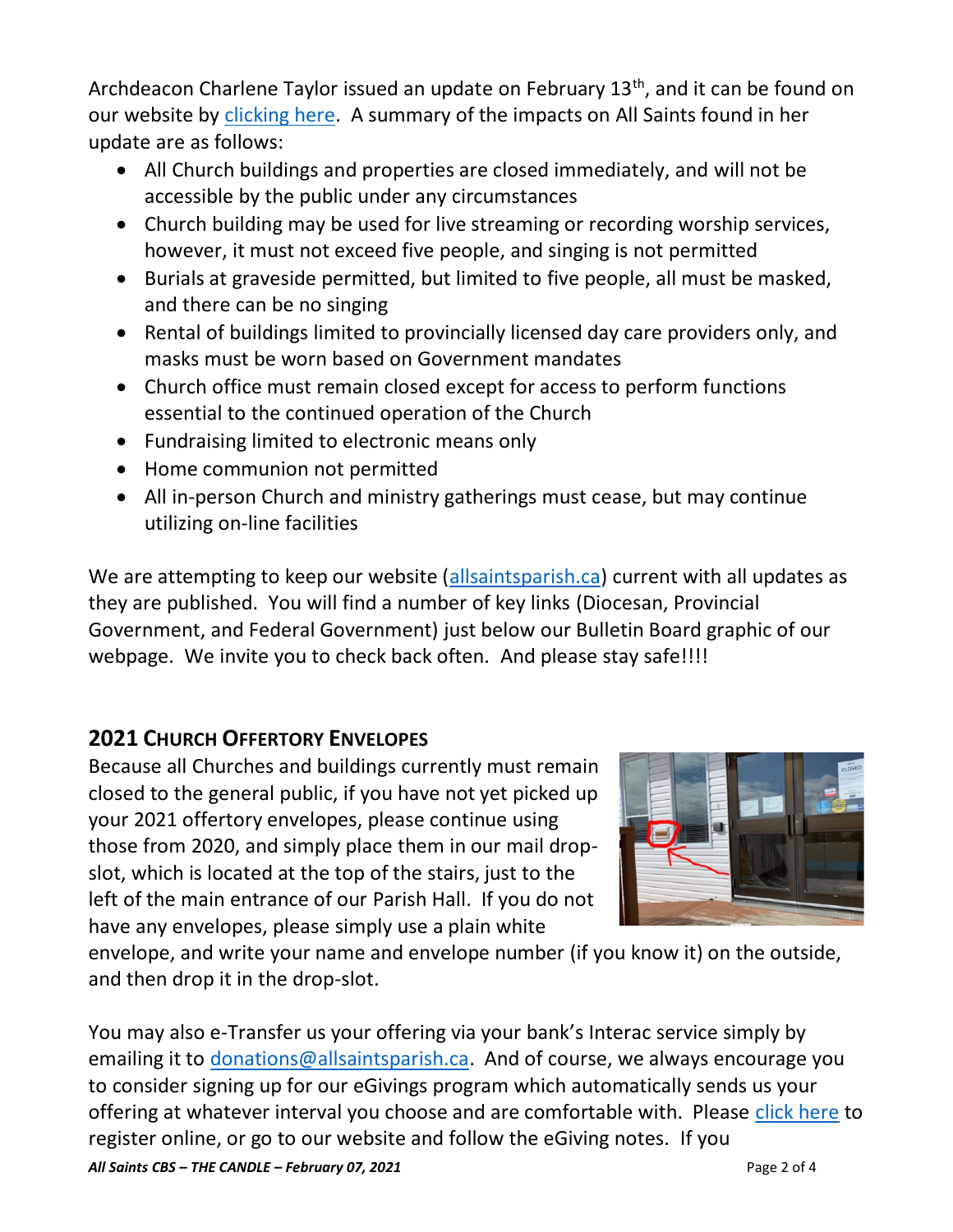Archdeacon Charlene Taylor issued an update on February 13<sup>th</sup>, and it can be found on our website by [clicking here.](https://anglicanenl.net/home/wp-content/uploads/2021/02/COVID19-Update-Feb-13-2021.pdf) A summary of the impacts on All Saints found in her update are as follows:

- All Church buildings and properties are closed immediately, and will not be accessible by the public under any circumstances
- Church building may be used for live streaming or recording worship services, however, it must not exceed five people, and singing is not permitted
- Burials at graveside permitted, but limited to five people, all must be masked, and there can be no singing
- Rental of buildings limited to provincially licensed day care providers only, and masks must be worn based on Government mandates
- Church office must remain closed except for access to perform functions essential to the continued operation of the Church
- Fundraising limited to electronic means only
- Home communion not permitted
- All in-person Church and ministry gatherings must cease, but may continue utilizing on-line facilities

We are attempting to keep our website [\(allsaintsparish.ca\)](allsaintsparish.ca) current with all updates as they are published. You will find a number of key links (Diocesan, Provincial Government, and Federal Government) just below our Bulletin Board graphic of our webpage. We invite you to check back often. And please stay safe!!!!

# **2021 CHURCH OFFERTORY ENVELOPES**

Because all Churches and buildings currently must remain closed to the general public, if you have not yet picked up your 2021 offertory envelopes, please continue using those from 2020, and simply place them in our mail dropslot, which is located at the top of the stairs, just to the left of the main entrance of our Parish Hall. If you do not have any envelopes, please simply use a plain white



envelope, and write your name and envelope number (if you know it) on the outside, and then drop it in the drop-slot.

*All Saints CBS – THE CANDLE – February 07, 2021* Page 2 of 4 You may also e-Transfer us your offering via your bank's Interac service simply by emailing it to [donations@allsaintsparish.ca.](mailto:donations@allsaintsparish.ca) And of course, we always encourage you to consider signing up for our eGivings program which automatically sends us your offering at whatever interval you choose and are comfortable with. Please [click here](http://allsaintsparish.ca/egiving-online-information-form) to register online, or go to our website and follow the eGiving notes. If you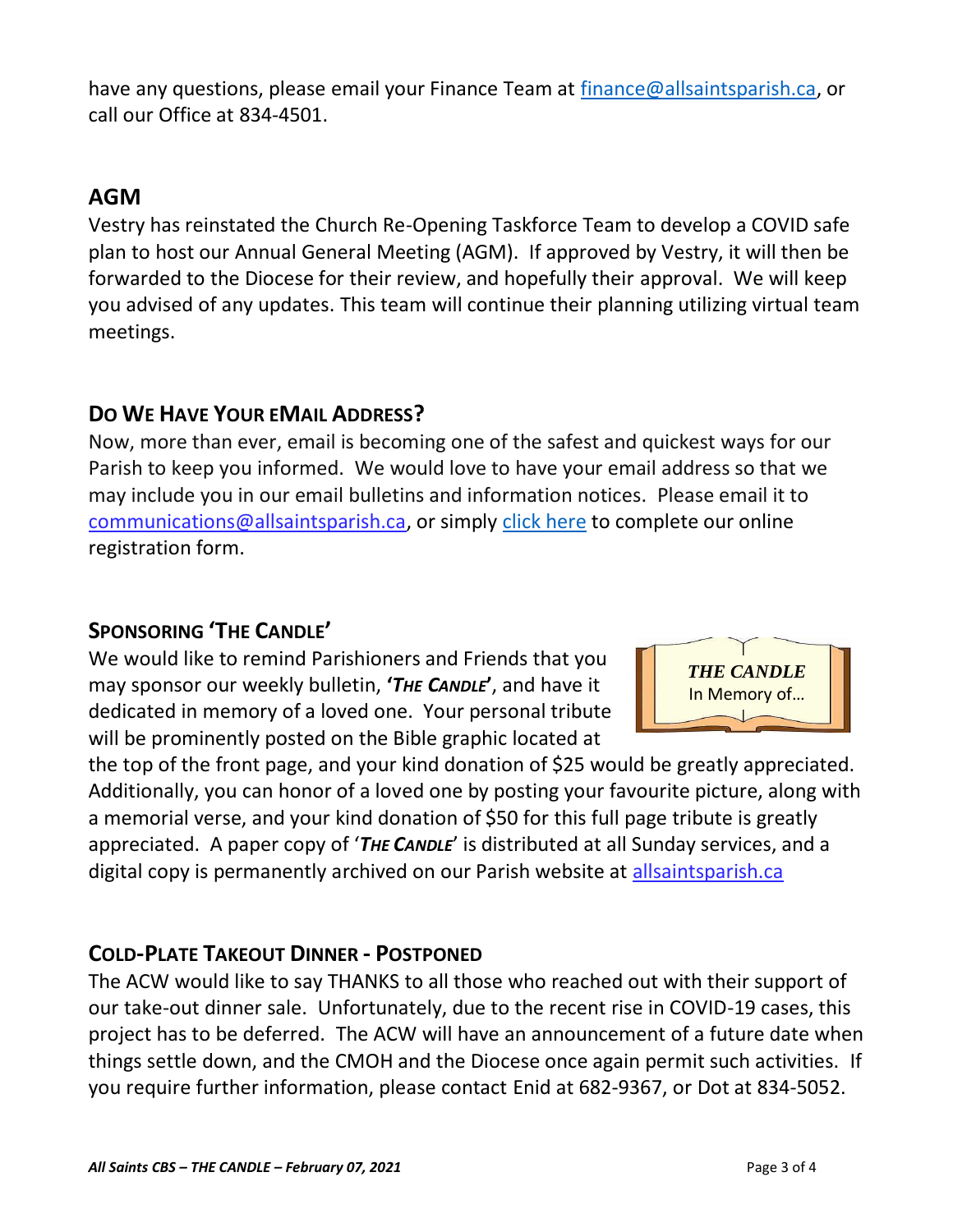have [any](https://wfsites-to.websitecreatorprotool.com/870a5dd5.com/Admin/%7BSK_NODEID__22939341__SK%7D) questions, please email your Finance Team at [finance@allsaintsparish.ca,](mailto:finance@allsaintsparish.ca) or call our Office at 834-4501.

## **AGM**

Vestry has reinstated the Church Re-Opening Taskforce Team to develop a COVID safe plan to host our Annual General Meeting (AGM). If approved by Vestry, it will then be forwarded to the Diocese for their review, and hopefully their approval. We will keep you advised of any updates. This team will continue their planning utilizing virtual team meetings.

### **DO WE HAVE YOUR EMAIL ADDRESS?**

Now, more than ever, email is becoming one of the safest and quickest ways for our Parish to keep you informed. We would love to have your email address so that we may include you in our email bulletins and information notices. Please email it to [communications@allsaintsparish.ca,](mailto:communications@allsaintsparish.ca?subject=eMail%20Address%20Update) or simply [click here](http://allsaintsparish.ca/email_updates) to complete our online registration form.

### **SPONSORING 'THE CANDLE'**

We would like to remind Parishioners and Friends that you may sponsor our weekly bulletin, **'***THE CANDLE***'**, and have it dedicated in memory of a loved one. Your personal tribute will be prominently posted on the Bible graphic located at



the top of the front page, and your kind donation of \$25 would be greatly appreciated. Additionally, you can honor of a loved one by posting your favourite picture, along with a memorial verse, and your kind donation of \$50 for this full page tribute is greatly appreciated. A paper copy of '*THE CANDLE*' is distributed at all Sunday services, and a digital copy is permanently archived on our Parish website at [allsaintsparish.ca](http://allsaintsparish.ca/thecandle.html)

### **COLD-PLATE TAKEOUT DINNER - POSTPONED**

The ACW would like to say THANKS to all those who reached out with their support of our take-out dinner sale. Unfortunately, due to the recent rise in COVID-19 cases, this project has to be deferred. The ACW will have an announcement of a future date when things settle down, and the CMOH and the Diocese once again permit such activities. If you require further information, please contact Enid at 682-9367, or Dot at 834-5052.